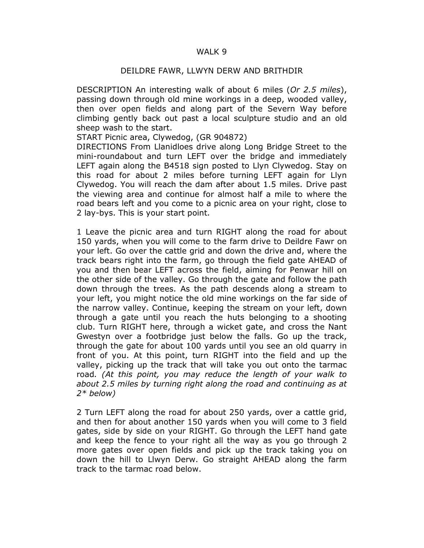## WALK 9

## DEILDRE FAWR, LLWYN DERW AND BRITHDIR

DESCRIPTION An interesting walk of about 6 miles (Or 2.5 miles), passing down through old mine workings in a deep, wooded valley, then over open fields and along part of the Severn Way before climbing gently back out past a local sculpture studio and an old sheep wash to the start.

START Picnic area, Clywedog, (GR 904872)

DIRECTIONS From Llanidloes drive along Long Bridge Street to the mini-roundabout and turn LEFT over the bridge and immediately LEFT again along the B4518 sign posted to Llyn Clywedog. Stay on this road for about 2 miles before turning LEFT again for Llyn Clywedog. You will reach the dam after about 1.5 miles. Drive past the viewing area and continue for almost half a mile to where the road bears left and you come to a picnic area on your right, close to 2 lay-bys. This is your start point.

1 Leave the picnic area and turn RIGHT along the road for about 150 yards, when you will come to the farm drive to Deildre Fawr on your left. Go over the cattle grid and down the drive and, where the track bears right into the farm, go through the field gate AHEAD of you and then bear LEFT across the field, aiming for Penwar hill on the other side of the valley. Go through the gate and follow the path down through the trees. As the path descends along a stream to your left, you might notice the old mine workings on the far side of the narrow valley. Continue, keeping the stream on your left, down through a gate until you reach the huts belonging to a shooting club. Turn RIGHT here, through a wicket gate, and cross the Nant Gwestyn over a footbridge just below the falls. Go up the track, through the gate for about 100 yards until you see an old quarry in front of you. At this point, turn RIGHT into the field and up the valley, picking up the track that will take you out onto the tarmac road. (At this point, you may reduce the length of your walk to about 2.5 miles by turning right along the road and continuing as at  $2*$  below)

2 Turn LEFT along the road for about 250 yards, over a cattle grid, and then for about another 150 yards when you will come to 3 field gates, side by side on your RIGHT. Go through the LEFT hand gate and keep the fence to your right all the way as you go through 2 more gates over open fields and pick up the track taking you on down the hill to Llwyn Derw. Go straight AHEAD along the farm track to the tarmac road below.